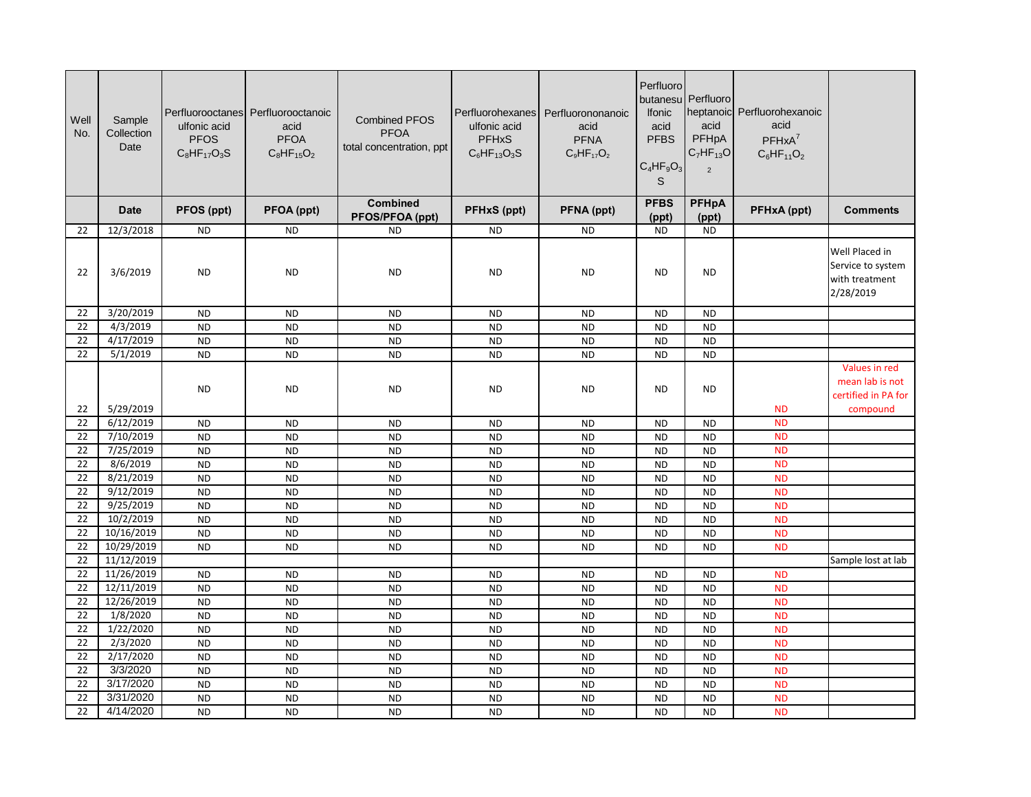| Well<br>No. | Sample<br>Collection<br>Date | ulfonic acid<br><b>PFOS</b><br>$C_8HF_{17}O_3S$ | Perfluorooctanes Perfluorooctanoic<br>acid<br><b>PFOA</b><br>$C_8HF_{15}O_2$ | <b>Combined PFOS</b><br><b>PFOA</b><br>total concentration, ppt | Perfluorohexanes<br>ulfonic acid<br><b>PFHxS</b><br>$C_6$ HF <sub>13</sub> O <sub>3</sub> S | Perfluorononanoic<br>acid<br><b>PFNA</b><br>$C_9HF_{17}O_2$ | Perfluoro<br>butanesu<br><b>Ifonic</b><br>acid<br><b>PFBS</b><br>$C_4HF_9O_3$<br>S | Perfluoro<br>acid<br>PFHpA<br>$C_7HF_{13}O$<br>2 | heptanoic Perfluorohexanoic<br>acid<br>$PFHxA^7$<br>$C_6HF_{11}O_2$ |                                                                    |
|-------------|------------------------------|-------------------------------------------------|------------------------------------------------------------------------------|-----------------------------------------------------------------|---------------------------------------------------------------------------------------------|-------------------------------------------------------------|------------------------------------------------------------------------------------|--------------------------------------------------|---------------------------------------------------------------------|--------------------------------------------------------------------|
|             | <b>Date</b>                  | PFOS (ppt)                                      | PFOA (ppt)                                                                   | <b>Combined</b><br><b>PFOS/PFOA (ppt)</b>                       | PFHxS (ppt)                                                                                 | PFNA (ppt)                                                  | <b>PFBS</b><br>(ppt)                                                               | <b>PFHpA</b><br>(ppt)                            | PFHxA (ppt)                                                         | <b>Comments</b>                                                    |
| 22          | 12/3/2018                    | <b>ND</b>                                       | <b>ND</b>                                                                    | <b>ND</b>                                                       | <b>ND</b>                                                                                   | <b>ND</b>                                                   | <b>ND</b>                                                                          | <b>ND</b>                                        |                                                                     |                                                                    |
| 22          | 3/6/2019                     | <b>ND</b>                                       | <b>ND</b>                                                                    | <b>ND</b>                                                       | <b>ND</b>                                                                                   | <b>ND</b>                                                   | <b>ND</b>                                                                          | <b>ND</b>                                        |                                                                     | Well Placed in<br>Service to system<br>with treatment<br>2/28/2019 |
| 22          | 3/20/2019                    | <b>ND</b>                                       | <b>ND</b>                                                                    | <b>ND</b>                                                       | <b>ND</b>                                                                                   | <b>ND</b>                                                   | <b>ND</b>                                                                          | <b>ND</b>                                        |                                                                     |                                                                    |
| 22          | 4/3/2019                     | <b>ND</b>                                       | <b>ND</b>                                                                    | <b>ND</b>                                                       | <b>ND</b>                                                                                   | <b>ND</b>                                                   | <b>ND</b>                                                                          | <b>ND</b>                                        |                                                                     |                                                                    |
| 22          | 4/17/2019                    | <b>ND</b>                                       | <b>ND</b>                                                                    | <b>ND</b>                                                       | <b>ND</b>                                                                                   | <b>ND</b>                                                   | <b>ND</b>                                                                          | <b>ND</b>                                        |                                                                     |                                                                    |
| 22          | 5/1/2019                     | <b>ND</b>                                       | <b>ND</b>                                                                    | <b>ND</b>                                                       | <b>ND</b>                                                                                   | <b>ND</b>                                                   | <b>ND</b>                                                                          | <b>ND</b>                                        |                                                                     |                                                                    |
|             |                              | <b>ND</b>                                       | <b>ND</b>                                                                    | <b>ND</b>                                                       | <b>ND</b>                                                                                   | <b>ND</b>                                                   | <b>ND</b>                                                                          | <b>ND</b>                                        |                                                                     | Values in red<br>mean lab is not<br>certified in PA for            |
| 22          | 5/29/2019                    |                                                 |                                                                              |                                                                 |                                                                                             |                                                             |                                                                                    |                                                  | <b>ND</b>                                                           | compound                                                           |
| 22          | 6/12/2019                    | <b>ND</b>                                       | <b>ND</b>                                                                    | <b>ND</b>                                                       | <b>ND</b>                                                                                   | <b>ND</b>                                                   | <b>ND</b>                                                                          | <b>ND</b>                                        | <b>ND</b>                                                           |                                                                    |
| 22          | 7/10/2019                    | <b>ND</b>                                       | <b>ND</b>                                                                    | <b>ND</b>                                                       | <b>ND</b>                                                                                   | <b>ND</b>                                                   | <b>ND</b>                                                                          | <b>ND</b>                                        | <b>ND</b>                                                           |                                                                    |
| 22          | 7/25/2019                    | <b>ND</b>                                       | <b>ND</b>                                                                    | <b>ND</b>                                                       | <b>ND</b>                                                                                   | <b>ND</b>                                                   | <b>ND</b>                                                                          | <b>ND</b>                                        | <b>ND</b>                                                           |                                                                    |
| 22<br>22    | 8/6/2019                     | <b>ND</b>                                       | <b>ND</b>                                                                    | <b>ND</b>                                                       | <b>ND</b>                                                                                   | <b>ND</b>                                                   | <b>ND</b>                                                                          | <b>ND</b>                                        | <b>ND</b>                                                           |                                                                    |
| 22          | 8/21/2019<br>9/12/2019       | <b>ND</b>                                       | <b>ND</b>                                                                    | <b>ND</b>                                                       | <b>ND</b>                                                                                   | <b>ND</b>                                                   | <b>ND</b>                                                                          | <b>ND</b><br><b>ND</b>                           | <b>ND</b>                                                           |                                                                    |
| 22          | 9/25/2019                    | <b>ND</b><br><b>ND</b>                          | <b>ND</b><br><b>ND</b>                                                       | <b>ND</b><br><b>ND</b>                                          | <b>ND</b><br><b>ND</b>                                                                      | <b>ND</b><br><b>ND</b>                                      | <b>ND</b><br><b>ND</b>                                                             | <b>ND</b>                                        | <b>ND</b><br><b>ND</b>                                              |                                                                    |
| 22          | 10/2/2019                    | <b>ND</b>                                       | <b>ND</b>                                                                    | <b>ND</b>                                                       | <b>ND</b>                                                                                   | <b>ND</b>                                                   | <b>ND</b>                                                                          | <b>ND</b>                                        | <b>ND</b>                                                           |                                                                    |
| 22          | 10/16/2019                   | <b>ND</b>                                       | <b>ND</b>                                                                    | <b>ND</b>                                                       | <b>ND</b>                                                                                   | <b>ND</b>                                                   | <b>ND</b>                                                                          | <b>ND</b>                                        | <b>ND</b>                                                           |                                                                    |
| 22          | 10/29/2019                   | <b>ND</b>                                       | <b>ND</b>                                                                    | <b>ND</b>                                                       | <b>ND</b>                                                                                   | <b>ND</b>                                                   | <b>ND</b>                                                                          | <b>ND</b>                                        | <b>ND</b>                                                           |                                                                    |
| 22          | 11/12/2019                   |                                                 |                                                                              |                                                                 |                                                                                             |                                                             |                                                                                    |                                                  |                                                                     | Sample lost at lab                                                 |
| 22          | 11/26/2019                   | <b>ND</b>                                       | <b>ND</b>                                                                    | <b>ND</b>                                                       | <b>ND</b>                                                                                   | <b>ND</b>                                                   | <b>ND</b>                                                                          | <b>ND</b>                                        | <b>ND</b>                                                           |                                                                    |
| 22          | 12/11/2019                   | <b>ND</b>                                       | <b>ND</b>                                                                    | <b>ND</b>                                                       | <b>ND</b>                                                                                   | <b>ND</b>                                                   | <b>ND</b>                                                                          | <b>ND</b>                                        | <b>ND</b>                                                           |                                                                    |
| 22          | 12/26/2019                   | <b>ND</b>                                       | <b>ND</b>                                                                    | <b>ND</b>                                                       | <b>ND</b>                                                                                   | <b>ND</b>                                                   | <b>ND</b>                                                                          | <b>ND</b>                                        | <b>ND</b>                                                           |                                                                    |
| 22          | 1/8/2020                     | <b>ND</b>                                       | <b>ND</b>                                                                    | <b>ND</b>                                                       | <b>ND</b>                                                                                   | <b>ND</b>                                                   | <b>ND</b>                                                                          | <b>ND</b>                                        | <b>ND</b>                                                           |                                                                    |
| 22          | 1/22/2020                    | <b>ND</b>                                       | <b>ND</b>                                                                    | <b>ND</b>                                                       | <b>ND</b>                                                                                   | <b>ND</b>                                                   | <b>ND</b>                                                                          | <b>ND</b>                                        | <b>ND</b>                                                           |                                                                    |
| 22          | 2/3/2020                     | <b>ND</b>                                       | <b>ND</b>                                                                    | <b>ND</b>                                                       | <b>ND</b>                                                                                   | <b>ND</b>                                                   | <b>ND</b>                                                                          | <b>ND</b>                                        | <b>ND</b>                                                           |                                                                    |
| 22          | 2/17/2020                    | <b>ND</b>                                       | <b>ND</b>                                                                    | <b>ND</b>                                                       | <b>ND</b>                                                                                   | <b>ND</b>                                                   | <b>ND</b>                                                                          | <b>ND</b>                                        | <b>ND</b>                                                           |                                                                    |
| 22          | 3/3/2020                     | <b>ND</b>                                       | <b>ND</b>                                                                    | <b>ND</b>                                                       | <b>ND</b>                                                                                   | <b>ND</b>                                                   | <b>ND</b>                                                                          | <b>ND</b>                                        | <b>ND</b>                                                           |                                                                    |
| 22          | 3/17/2020                    | <b>ND</b>                                       | <b>ND</b>                                                                    | <b>ND</b>                                                       | <b>ND</b>                                                                                   | <b>ND</b>                                                   | <b>ND</b>                                                                          | <b>ND</b>                                        | <b>ND</b>                                                           |                                                                    |
| 22          | 3/31/2020                    | <b>ND</b>                                       | <b>ND</b>                                                                    | <b>ND</b>                                                       | <b>ND</b>                                                                                   | <b>ND</b>                                                   | <b>ND</b>                                                                          | <b>ND</b>                                        | <b>ND</b>                                                           |                                                                    |
| 22          | 4/14/2020                    | <b>ND</b>                                       | <b>ND</b>                                                                    | <b>ND</b>                                                       | <b>ND</b>                                                                                   | <b>ND</b>                                                   | <b>ND</b>                                                                          | <b>ND</b>                                        | <b>ND</b>                                                           |                                                                    |